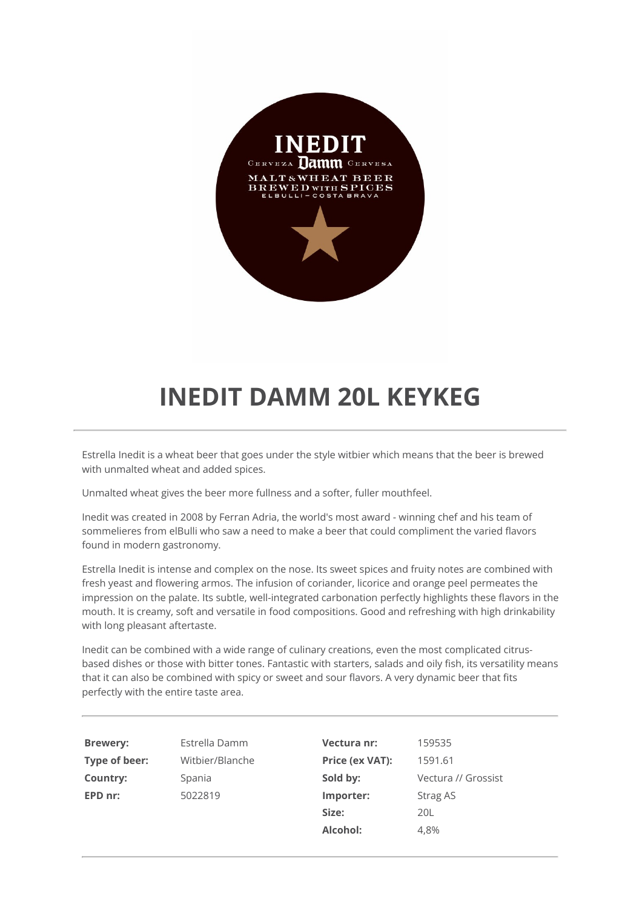

## **INEDIT DAMM 20L KEYKEG**

Estrella Inedit is a wheat beer that goes under the style witbier which means that the beer is brewed with unmalted wheat and added spices.

Unmalted wheat gives the beer more fullness and a softer, fuller mouthfeel.

Inedit was created in 2008 by Ferran Adria, the world's most award - winning chef and his team of sommelieres from elBulli who saw a need to make a beer that could compliment the varied flavors found in modern gastronomy.

Estrella Inedit is intense and complex on the nose. Its sweet spices and fruity notes are combined with fresh yeast and flowering armos. The infusion of coriander, licorice and orange peel permeates the impression on the palate. Its subtle, well-integrated carbonation perfectly highlights these flavors in the mouth. It is creamy, soft and versatile in food compositions. Good and refreshing with high drinkability with long pleasant aftertaste.

Inedit can be combined with a wide range of culinary creations, even the most complicated citrusbased dishes or those with bitter tones. Fantastic with starters, salads and oily fish, its versatility means that it can also be combined with spicy or sweet and sour flavors. A very dynamic beer that fits perfectly with the entire taste area.

| <b>Brewery:</b> | Estrella Damm   | Vectura nr:            | 159535              |
|-----------------|-----------------|------------------------|---------------------|
| Type of beer:   | Witbier/Blanche | <b>Price (ex VAT):</b> | 1591.61             |
| Country:        | Spania          | Sold by:               | Vectura // Grossist |
| EPD nr:         | 5022819         | Importer:              | Strag AS            |
|                 |                 | Size:                  | 20L                 |
|                 |                 | Alcohol:               | 4.8%                |